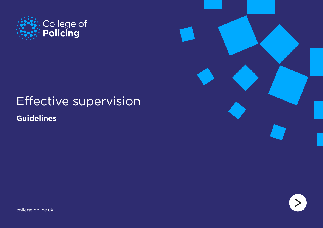

# Effective supervision

**Guidelines**





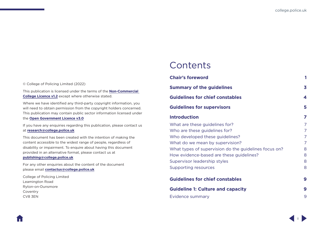ii

# **Contents**

| 1                       |
|-------------------------|
| $\overline{\mathbf{3}}$ |
| 4                       |
| 5                       |
| 7                       |
| 7                       |
| 7                       |
| 7                       |
| 7                       |
| 8                       |
| 8                       |
| 8                       |
| 8                       |
| 9                       |
| 9                       |
| 9                       |
|                         |

© College of Policing Limited (2022)

This publication is licensed under the terms of the **[Non-Commercial](https://www.college.police.uk/non-commercial-college-licence)  [College Licence v1.2](https://www.college.police.uk/non-commercial-college-licence)** except where otherwise stated.

Where we have identified any third-party copyright information, you will need to obtain permission from the copyright holders concerned. This publication may contain public sector information licensed under the **[Open Government Licence v3.0](http://www.nationalarchives.gov.uk/doc/open-government-licence/version/3/)**

If you have any enquiries regarding this publication, please contact us at **[research@college.police.uk](mailto:research%40college.police.uk?subject=Effective%20supervision)**

This document has been created with the intention of making the content accessible to the widest range of people, regardless of disability or impairment. To enquire about having this document provided in an alternative format, please contact us at

#### **[publishing@college.police.uk](mailto:publishing%40college.police.uk?subject=Effective%20supervision)**

For any other enquiries about the content of the document please email **[contactus@college.police.uk](mailto:contactus%40college.police.uk?subject=Effective%20supervision)**

College of Policing Limited Leamington Road Ryton-on-Dunsmore Coventry CV8 3EN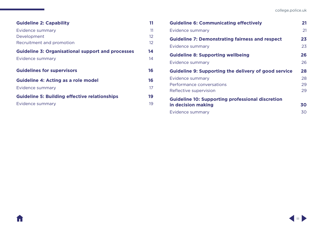| <b>Guideline 2: Capability</b>                           | 11 |
|----------------------------------------------------------|----|
| Evidence summary                                         | 11 |
| Development                                              | 12 |
| Recruitment and promotion                                | 12 |
| <b>Guideline 3: Organisational support and processes</b> | 14 |
| Evidence summary                                         | 14 |
| <b>Guidelines for supervisors</b>                        | 16 |
| <b>Guideline 4: Acting as a role model</b>               | 16 |
| Evidence summary                                         | 17 |
| <b>Guideline 5: Building effective relationships</b>     | 19 |
| Evidence summary                                         | 19 |
|                                                          |    |

A

| <b>Guideline 6: Communicating effectively</b>               | 21 |
|-------------------------------------------------------------|----|
| Evidence summary                                            | 21 |
| <b>Guideline 7: Demonstrating fairness and respect</b>      | 23 |
| <b>Evidence summary</b>                                     | 23 |
| <b>Guideline 8: Supporting wellbeing</b>                    | 26 |
| Evidence summary                                            | 26 |
| <b>Guideline 9: Supporting the delivery of good service</b> | 28 |
| Evidence summary                                            | 28 |
| Performance conversations                                   | 29 |
| Reflective supervision                                      | 29 |
| <b>Guideline 10: Supporting professional discretion</b>     |    |
| in decision making                                          | 30 |
| Evidence summary                                            | 30 |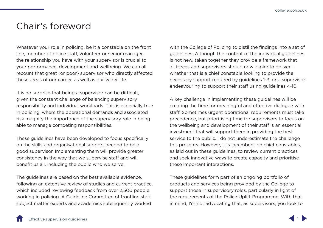# <span id="page-3-0"></span>Chair's foreword

Whatever your role in policing, be it a constable on the front line, member of police staff, volunteer or senior manager, the relationship you have with your supervisor is crucial to your performance, development and wellbeing. We can all recount that great (or poor) supervisor who directly affected these areas of our career, as well as our wider life.

It is no surprise that being a supervisor can be difficult, given the constant challenge of balancing supervisory responsibility and individual workloads. This is especially true in policing, where the operational demands and associated risk magnify the importance of the supervisory role in being able to manage competing responsibilities.

These guidelines have been developed to focus specifically on the skills and organisational support needed to be a good supervisor. Implementing them will provide greater consistency in the way that we supervise staff and will benefit us all, including the public who we serve.

The guidelines are based on the best available evidence, following an extensive review of studies and current practice, which included reviewing feedback from over 2,500 people working in policing. A Guideline Committee of frontline staff, subject matter experts and academics subsequently worked

with the College of Policing to distil the findings into a set of guidelines. Although the content of the individual guidelines is not new, taken together they provide a framework that all forces and supervisors should now aspire to deliver – whether that is a chief constable looking to provide the necessary support required by guidelines 1-3, or a supervisor endeavouring to support their staff using guidelines 4-10.

A key challenge in implementing these guidelines will be creating the time for meaningful and effective dialogue with staff. Sometimes urgent operational requirements must take precedence, but prioritising time for supervisors to focus on the wellbeing and development of their staff is an essential investment that will support them in providing the best service to the public. I do not underestimate the challenge this presents. However, it is incumbent on chief constables, as laid out in these guidelines, to review current practices and seek innovative ways to create capacity and prioritise these important interactions.

These guidelines form part of an ongoing portfolio of products and services being provided by the College to support those in supervisory roles, particularly in light of the requirements of the Police Uplift Programme. With that in mind, I'm not advocating that, as supervisors, you look to

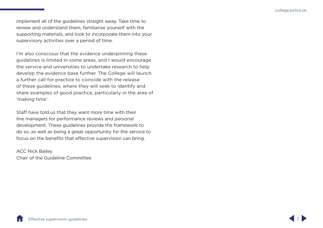implement all of the guidelines straight away. Take time to review and understand them, familiarise yourself with the supporting materials, and look to incorporate them into your supervisory activities over a period of time.

I'm also conscious that the evidence underpinning these guidelines is limited in some areas, and I would encourage the service and universities to undertake research to help develop the evidence base further. The College will launch a further call for practice to coincide with the release of these guidelines, where they will seek to identify and share examples of good practice, particularly in the area of 'making time'.

Staff have told us that they want more time with their line managers for performance reviews and personal development. These guidelines provide the framework to do so, as well as being a great opportunity for the service to focus on the benefits that effective supervision can bring.

ACC Nick Bailey Chair of the Guideline Committee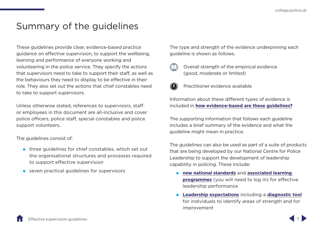# <span id="page-5-0"></span>Summary of the guidelines

These guidelines provide clear, evidence-based practice guidance on effective supervision, to support the wellbeing, learning and performance of everyone working and volunteering in the police service. They specify the actions that supervisors need to take to support their staff, as well as the behaviours they need to display to be effective in their role. They also set out the actions that chief constables need to take to support supervisors.

Unless otherwise stated, references to supervisors, staff or employees in this document are all-inclusive and cover police officers, police staff, special constables and police support volunteers.

The guidelines consist of:

- $\blacksquare$  three quidelines for chief constables, which set out the organisational structures and processes required to support effective supervision
- seven practical guidelines for supervisors

The type and strength of the evidence underpinning each guideline is shown as follows.



 Overall strength of the empirical evidence (good, moderate or limited)



Practitioner evidence available

Information about these different types of evidence is included in **[how evidence-based are these guidelines?](#page-10-1)**

The supporting information that follows each guideline includes a brief summary of the evidence and what the guideline might mean in practice.

The guidelines can also be used as part of a suite of products that are being developed by our National Centre for Police Leadership to support the development of leadership capability in policing. These include:

- **n[ew national standards](http://www.learn.college.pnn.police.uk/cl/content/summary/44714)** and **[associated learning](http://www.learn.college.pnn.police.uk/cl/content/summary/44715)  [programmes](http://www.learn.college.pnn.police.uk/cl/content/summary/44715)** (you will need to log in) for effective leadership performance
- **[Leadership expectations](https://www.college.police.uk/guidance/leadership-expectations)** including a **[diagnostic tool](https://www.college.police.uk/guidance/leadership-expectations/diagnostic-tool)** for individuals to identify areas of strength and for improvement

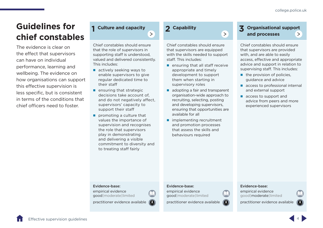# <span id="page-6-0"></span>**Guidelines for chief constables**

The evidence is clear on the effect that supervisors can have on individual performance, learning and wellbeing. The evidence on how organisations can support this effective supervision is less specific, but is consistent in terms of the conditions that chief officers need to foster.

# **1 Culture and capacity**

Chief constables should ensure that the role of supervisors in supporting staff is understood, [valued and delivered consistently.](#page-11-1)  This includes:

 $\rightarrow$ 

- actively seeking ways to enable supervisors to give regular dedicated time to their staff
- $\blacksquare$  ensuring that strategic decisions take account of, and do not negatively affect, supervisors' capacity to support their staff
- **promoting a culture that** values the importance of supervision and recognises the role that supervisors play in demonstrating and delivering a visible commitment to diversity and to treating staff fairly

## **2 Capability**

Chief constables should ensure that supervisors are equipped [with the skills needed to support](#page-13-1)  staff. This includes:

 $\rightarrow$ 

- $\blacksquare$  ensuring that all staff receive appropriate and timely development to support them when starting in supervisory roles
- adopting a fair and transparent organisation-wide approach to recruiting, selecting, posting and developing supervisors, ensuring that opportunities are available for all
- **n** implementing recruitment and promotion processes that assess the skills and behaviours required

# **3 [Organisational support](#page-16-1)  and processes**

Chief constables should ensure that supervisors are provided with, and are able to easily access, effective and appropriate advice and support in relation to supervising staff. This includes:

- $\blacksquare$  the provision of policies, guidance and advice
- **access to professional internal** and external support
- **access to support and** advice from peers and more experienced supervisors

#### Evidence-base:

empirical evidence good | moderate | limited

practitioner evidence available  $\sqrt{3}$ 

#### Evidence-base:

empirical evidence good | moderate | limited

practitioner evidence available  $\left( 8 \right)$ 

#### Evidence-base:

empirical evidence good | moderate | limited

practitioner evidence available



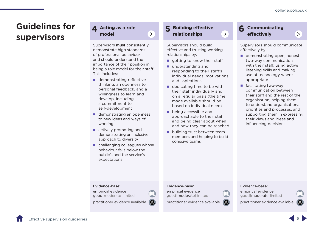$\rightarrow$ 

# <span id="page-7-0"></span>**Guidelines for supervisors**

**4 Acting as a role model**

Supervisors **must** consistently demonstrate high standards of professional behaviour and should understand the importance of their position in [being a role model for their staff.](#page-18-1)  This includes:

 $\rightarrow$ 

- demonstrating reflective thinking, an openness to personal feedback, and a willingness to learn and develop, including a commitment to self-development
- demonstrating an openness to new ideas and ways of working
- actively promoting and demonstrating an inclusive approach to diversity
- challenging colleagues whose behaviour falls below the public's and the service's expectations

# **5 Building effective relationships**

Supervisors should build effective and trusting working relationships by:

 $\rightarrow$ 

- $\blacksquare$  getting to know their staff
- understanding and responding to their staff's [individual needs, motivations](#page-21-1)  and aspirations
- $\blacksquare$  dedicating time to be with their staff individually and on a regular basis (the time made available should be based on individual need)
- **Dealing accessible and** approachable to their staff, and being clear about when and how they can be reached
- **building trust between team** members and helping to build cohesive teams

# **6 Communicating effectively**

[Supervisors should communicate](#page-23-1)  effectively by:

- demonstrating open, honest two-way communication with their staff, using active listening skills and making use of technology where appropriate
- **F** facilitating two-way communication between their staff and the rest of the organisation, helping them to understand organisational priorities and processes, and supporting them in expressing their views and ideas and influencing decisions

#### Evidence-base:

empirical evidence good | moderate | limited

practitioner evidence available  $\delta$ 

#### Evidence-base:

empirical evidence good | moderate | limited

practitioner evidence available  $\left( 6\right)$ 

#### Evidence-base:

empirical evidence good | moderate | limited

practitioner evidence available



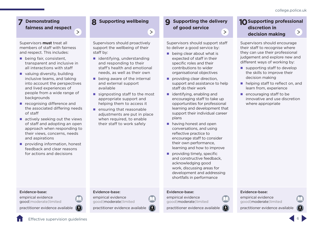## **7 Demonstrating fairness and respect**

 $\rightarrow$ 

Supervisors **must** treat all members of staff with fairness and respect. This includes:

- being fair, consistent, transparent and inclusive in all interactions with staff
- valuing diversity, building inclusive teams, and taking into account the perspectives and lived experiences of people from a wide range of backgrounds
- **recognising difference and** [the associated differing needs](#page-25-1)  of staff
- actively seeking out the views of staff and adopting an open approach when responding to their views, concerns, needs and aspirations
- **providing information, honest** feedback and clear reasons for actions and decisions

#### Evidence-base:

empirical evidence good | moderate | limited

practitioner evidence available  $\ddot{\bullet}$ 

# **8 [Supporting wellbeing](#page-28-1)**

Supervisors should proactively support the wellbeing of their staff by:

 $\rightarrow$ 

- $\blacksquare$  identifying, understanding and responding to their staff's health and emotional needs, as well as their own
- **Deal** being aware of the internal and external support available
- signposting staff to the most appropriate support and helping them to access it
- $\blacksquare$  ensuring that reasonable adjustments are put in place when required, to enable their staff to work safely

Evidence-base: empirical evidence good | moderate | limited

practitioner evidence available

### **9 [Supporting the delivery](#page-30-1)  of good service**  $\rightarrow$

Supervisors should support staff to deliver a good service by:

- **being clear about what is** expected of staff in their specific roles and their contributions to wider organisational objectives
- **providing clear direction.** support and assistance to help staff do their work
- **identifying, enabling and** encouraging staff to take up opportunities for professional learning and development that support their individual career plans
- **having honest and open** conversations, and using reflective practice to encourage staff to consider their own performance, learning and how to improve
- providing timely, specific and constructive feedback, acknowledging good work, discussing areas for development and addressing shortfalls in performance

#### Evidence-base:

empirical evidence good | moderate | limited

practitioner evidence available

#### **10 Supporting professional discretion in**   $\geq$ **decision making**

Supervisors should encourage their staff to recognise where they can use their professional judgement and explore new and different ways of working by:

- supporting staff to develop the skills to improve their decision making
- **helping staff to reflect on, and** learn from, experience
- $\blacksquare$  encouraging staff to be innovative and use discretion where appropriate

#### Evidence-base:

empirical evidence good | moderate | limited

practitioner evidence available



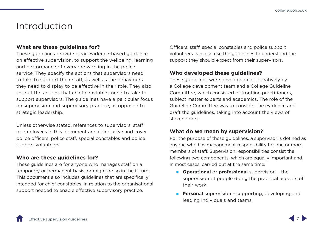# <span id="page-9-1"></span><span id="page-9-0"></span>Introduction

## **What are these guidelines for?**

These guidelines provide clear evidence-based guidance on effective supervision, to support the wellbeing, learning and performance of everyone working in the police service. They specify the actions that supervisors need to take to support their staff, as well as the behaviours they need to display to be effective in their role. They also set out the actions that chief constables need to take to support supervisors. The guidelines have a particular focus on supervision and supervisory practice, as opposed to strategic leadership.

Unless otherwise stated, references to supervisors, staff or employees in this document are all-inclusive and cover police officers, police staff, special constables and police support volunteers.

## **Who are these guidelines for?**

These guidelines are for anyone who manages staff on a temporary or permanent basis, or might do so in the future. This document also includes guidelines that are specifically intended for chief constables, in relation to the organisational support needed to enable effective supervisory practice.

Officers, staff, special constables and police support volunteers can also use the guidelines to understand the support they should expect from their supervisors.

## **Who developed these guidelines?**

These guidelines were developed collaboratively by a College development team and a College Guideline Committee, which consisted of frontline practitioners, subject matter experts and academics. The role of the Guideline Committee was to consider the evidence and draft the guidelines, taking into account the views of stakeholders.

## **What do we mean by supervision?**

For the purpose of these guidelines, a supervisor is defined as anyone who has management responsibility for one or more members of staff. Supervision responsibilities consist the following two components, which are equally important and, in most cases, carried out at the same time.

- **Operational** or **professional** supervision the supervision of people doing the practical aspects of their work.
- **Personal** supervision supporting, developing and leading individuals and teams.

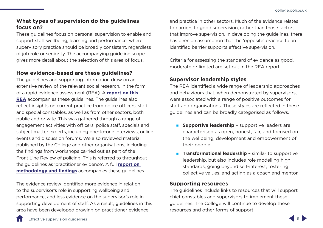# <span id="page-10-0"></span>**What types of supervision do the guidelines focus on?**

These guidelines focus on personal supervision to enable and support staff wellbeing, learning and performance, where supervisory practice should be broadly consistent, regardless of job role or seniority. The accompanying guideline scope gives more detail about the selection of this area of focus.

# <span id="page-10-1"></span>**How evidence-based are these guidelines?**

The guidelines and supporting information draw on an extensive review of the relevant social research, in the form of a rapid evidence assessment (REA). A **[report on this](https://assets.college.police.uk/s3fs-public/2022-04/Effective-supervision-rapid-evidence-assessment.pdf)  [REA](https://assets.college.police.uk/s3fs-public/2022-04/Effective-supervision-rapid-evidence-assessment.pdf)** accompanies these guidelines. The guidelines also reflect insights on current practice from police officers, staff and special constables, as well as from other sectors, both public and private. This was gathered through a range of engagement activities with officers, police staff, specials and subject matter experts, including one-to-one interviews, online events and discussion forums. We also reviewed material published by the College and other organisations, including the findings from workshops carried out as part of the Front Line Review of policing. This is referred to throughout the guidelines as 'practitioner evidence'. A full **[report on](https://assets.college.police.uk/s3fs-public/2022-04/Effective-supervision-practice-evidence.pdf)  [methodology and findings](https://assets.college.police.uk/s3fs-public/2022-04/Effective-supervision-practice-evidence.pdf)** accompanies these guidelines.

The evidence review identified more evidence in relation to the supervisor's role in supporting wellbeing and performance, and less evidence on the supervisor's role in supporting development of staff. As a result, guidelines in this area have been developed drawing on practitioner evidence

and practice in other sectors. Much of the evidence relates to barriers to good supervision, rather than those factors that improve supervision. In developing the guidelines, there has been an assumption that the 'opposite' practice to an identified barrier supports effective supervision.

Criteria for assessing the standard of evidence as good, moderate or limited are set out in the REA report.

# **Supervisor leadership styles**

The REA identified a wide range of leadership approaches and behaviours that, when demonstrated by supervisors, were associated with a range of positive outcomes for staff and organisations. These styles are reflected in these guidelines and can be broadly categorised as follows.

- **Supportive leadership** supportive leaders are characterised as open, honest, fair, and focused on the wellbeing, development and empowerment of their people.
- **Transformational leadership** similar to supportive leadership, but also includes role modelling high standards, going beyond self-interest, fostering collective values, and acting as a coach and mentor.

## **Supporting resources**

The guidelines include links to resources that will support chief constables and supervisors to implement these guidelines. The College will continue to develop these resources and other forms of support.

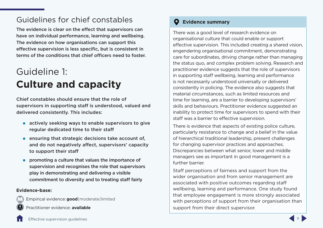# <span id="page-11-0"></span>Guidelines for chief constables

The evidence is clear on the effect that supervisors can have on individual performance, learning and wellbeing. The evidence on how organisations can support this effective supervision is less specific, but is consistent in terms of the conditions that chief officers need to foster.

# <span id="page-11-1"></span>Guideline 1: **Culture and capacity**

Chief constables should ensure that the role of supervisors in supporting staff is understood, valued and delivered consistently. This includes:

- $\blacksquare$  actively seeking ways to enable supervisors to give regular dedicated time to their staff
- **Example 1** ensuring that strategic decisions take account of, and do not negatively affect, supervisors' capacity to support their staff
- **PED PROMOTE A** culture that values the importance of supervision and recognises the role that supervisors play in demonstrating and delivering a visible commitment to diversity and to treating staff fairly

#### **Evidence-base:**

Empirical evidence:**good** | moderate| limited

Practitioner evidence: **available**

# **Evidence summary**

There was a good level of research evidence on organisational culture that could enable or support effective supervision. This included creating a shared vision, engendering organisational commitment, demonstrating care for subordinates, driving change rather than managing the status quo, and complex problem solving. Research and practitioner evidence suggests that the role of supervisors in supporting staff wellbeing, learning and performance is not necessarily understood universally or delivered consistently in policing. The evidence also suggests that material circumstances, such as limited resources and time for learning, are a barrier to developing supervisors' skills and behaviours. Practitioner evidence suggested an inability to protect time for supervisors to spend with their staff was a barrier to effective supervision.

There is evidence that aspects of existing police culture, particularly resistance to change and a belief in the value of hierarchical traditional leadership, present challenges for changing supervisor practices and approaches. Discrepancies between what senior, lower and middle managers see as important in good management is a further barrier.

Staff perceptions of fairness and support from the wider organisation and from senior management are associated with positive outcomes regarding staff wellbeing, learning and performance. One study found that employee engagement is more strongly associated with perceptions of support from their organisation than support from their direct supervisor.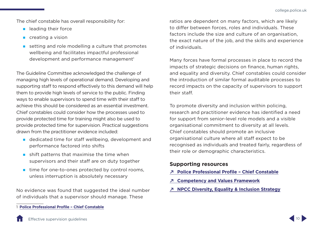The chief constable has overall responsibility for:

- **Lackter Leading their force**
- creating a vision
- setting and role modelling a culture that promotes wellbeing and facilitates impactful professional development and performance management<sup>1</sup>

The Guideline Committee acknowledged the challenge of managing high levels of operational demand. Developing and supporting staff to respond effectively to this demand will help them to provide high levels of service to the public. Finding ways to enable supervisors to spend time with their staff to achieve this should be considered as an essential investment. Chief constables could consider how the processes used to provide protected time for training might also be used to provide protected time for supervision. Practical suggestions drawn from the practitioner evidence included:

- **dedicated time for staff wellbeing, development and** performance factored into shifts
- $\blacksquare$  shift patterns that maximise the time when supervisors and their staff are on duty together
- $\blacksquare$  time for one-to-ones protected by control rooms, unless interruption is absolutely necessary

No evidence was found that suggested the ideal number of individuals that a supervisor should manage. These

ratios are dependent on many factors, which are likely to differ between forces, roles and individuals. These factors include the size and culture of an organisation, the exact nature of the job, and the skills and experience of individuals.

Many forces have formal processes in place to record the impacts of strategic decisions on finance, human rights, and equality and diversity. Chief constables could consider the introduction of similar formal auditable processes to record impacts on the capacity of supervisors to support their staff.

To promote diversity and inclusion within policing, research and practitioner evidence has identified a need for support from senior-level role models and a visible organisational commitment to diversity at all levels. Chief constables should promote an inclusive organisational culture where all staff expect to be recognised as individuals and treated fairly, regardless of their role or demographic characteristics.

- **↗ [Police Professional Profile Chief Constable](https://profdev.college.police.uk/professional-profile/chief-constable/)**
- **↗ [Competency and Values Framework](https://www.college.police.uk/career-learning/career-development/competency-and-values-framework-cvf)**
- **↗ [NPCC Diversity, Equality & Inclusion Strategy](https://www.npcc.police.uk/documents/edhr/2018/NPCC Diversity Equality Inclusion Strategy May 2018.pdf)**



<sup>1</sup> **[Police Professional Profile – Chief Constable](https://profdev.college.police.uk/professional-profile/chief-constable/)**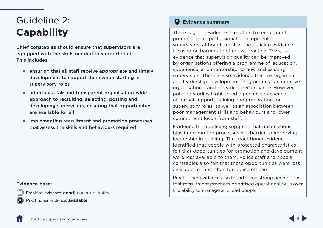# <span id="page-13-1"></span><span id="page-13-0"></span>Guideline 2: **Capability**

Chief constables should ensure that supervisors are equipped with the skills needed to support staff. This includes:

- **EXECUTE:** ensuring that all staff receive appropriate and timely development to support them when starting in supervisory roles
- **a** adopting a fair and transparent organisation-wide approach to recruiting, selecting, posting and developing supervisors, ensuring that opportunities are available for all
- **n** implementing recruitment and promotion processes that assess the skills and behaviours required

#### **Evidence-base:**

Empirical evidence:**good**|moderate|limited Practitioner evidence: **available**

# **Evidence summary**

There is good evidence in relation to recruitment, promotion and professional development of supervisors, although most of the policing evidence focused on barriers to effective practice. There is evidence that supervision quality can be improved by organisations offering a programme of 'education, experience, and mentorship' to new and existing supervisors. There is also evidence that management and leadership development programmes can improve organisational and individual performance. However, policing studies highlighted a perceived absence of formal support, training and preparation for supervisory roles, as well as an association between poor management skills and behaviours and lower commitment levels from staff.

Evidence from policing suggests that unconscious bias in promotion processes is a barrier to improving leadership in policing. The practitioner evidence identified that people with protected characteristics felt that opportunities for promotion and development were less available to them. Police staff and special constables also felt that these opportunities were less available to them than for police officers.

Practitioner evidence also found some strong perceptions that recruitment practices prioritised operational skills over the ability to manage and lead people.

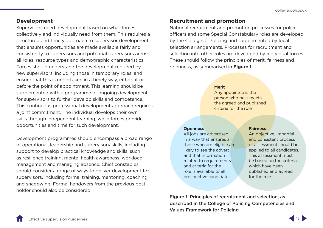### <span id="page-14-0"></span>**Development**

Supervisors need development based on what forces collectively and individually need from them. This requires a structured and timely approach to supervisor development that ensures opportunities are made available fairly and consistently to supervisors and potential supervisors across all roles, resource types and demographic characteristics. Forces should understand the development required by new supervisors, including those in temporary roles, and ensure that this is undertaken in a timely way, either at or before the point of appointment. This learning should be supplemented with a programme of ongoing development for supervisors to further develop skills and competence. This continuous professional development approach requires a joint commitment. The individual develops their own skills through independent learning, while forces provide opportunities and time for such development.

Development programmes should encompass a broad range of operational, leadership and supervisory skills, including support to develop practical knowledge and skills, such as resilience training, mental health awareness, workload management and managing absence. Chief constables should consider a range of ways to deliver development for supervisors, including formal training, mentoring, coaching and shadowing. Formal handovers from the previous post holder should also be considered.

## **Recruitment and promotion**

National recruitment and promotion processes for police officers and some Special Constabulary roles are developed by the College of Policing and supplemented by local selection arrangements. Processes for recruitment and selection into other roles are developed by individual forces. These should follow the principles of merit, fairness and openness, as summarised in **Figure 1**.

#### **Merit**

Any appointee is the person who best meets the agreed and published criteria for the role

#### **Openness**

All jobs are advertised in a way that ensures all those who are eligible are likely to see the advert and that information related to requirements and criteria for the role is available to all prospective candidates

#### **Fairness**

An objective, impartial and consistent process of assessment should be applied to all candidates. This assessment must be based on the criteria which have been published and agreed for the role

Figure 1. Principles of recruitment and selection, as described in the College of Policing Competencies and Values Framework for Policing

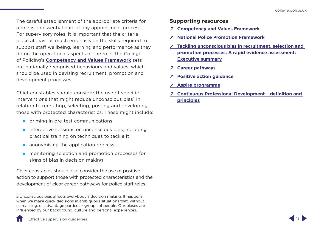The careful establishment of the appropriate criteria for a role is an essential part of any appointment process. For supervisory roles, it is important that the criteria place at least as much emphasis on the skills required to support staff wellbeing, learning and performance as they do on the operational aspects of the role. The College of Policing's **[Competency and Values Framework](https://www.college.police.uk/career-learning/career-development/competency-and-values-framework-cvf)** sets out nationally recognised behaviours and values, which should be used in devising recruitment, promotion and development processes.

Chief constables should consider the use of specific interventions that might reduce unconscious bias<sup>2</sup> in relation to recruiting, selecting, posting and developing those with protected characteristics. These might include:

- priming in pre-test communications
- $\blacksquare$  interactive sessions on unconscious bias, including practical training on techniques to tackle it
- **a** anonymising the application process
- **numonitoring selection and promotion processes for** signs of bias in decision making

Chief constables should also consider the use of positive action to support those with protected characteristics and the development of clear career pathways for police staff roles.

- **↗ [Competency and Values Framework](https://www.college.police.uk/career-learning/career-development/competency-and-values-framework-cvf)**
- **↗ [National Police Promotion Framework](https://www.college.police.uk/career-learning/career-development/national-police-promotion-framework)**
- **↗ [Tackling unconscious bias in recruitment, selection and](https://assets.college.police.uk/s3fs-public/2020-11/Unconscious_bias_REA_exec_sum.pdf)  [promotion processes: A rapid evidence assessment:](https://assets.college.police.uk/s3fs-public/2020-11/Unconscious_bias_REA_exec_sum.pdf)  [Executive summary](https://assets.college.police.uk/s3fs-public/2020-11/Unconscious_bias_REA_exec_sum.pdf)**
- **↗ [Career pathways](https://profdev.college.police.uk/career-pathways/)**
- **↗ [Positive action guidance](https://paas-s3-broker-prod-lon-6453d964-1d1a-432a-9260-5e0ba7d2fc51.s3.eu-west-2.amazonaws.com/s3fs-public/College-of-Policing-Positive-Action-Guidance.pdf)**
- **↗ [Aspire programme](https://www.college.police.uk/career-learning/learning/courses/aspire-leadership-development-programme)**
- **↗ [Continuous Professional Development definition and](https://assets.college.police.uk/s3fs-public/CPD-definitions-and-principles.pdf)  [principles](https://assets.college.police.uk/s3fs-public/CPD-definitions-and-principles.pdf)**



<sup>2</sup> Unconscious bias affects everybody's decision making. It happens when we make quick decisions in ambiguous situations that, without us realising, disadvantage particular groups of people. Our biases are influenced by our background, culture and personal experiences.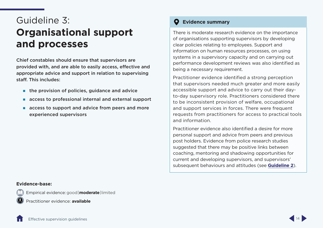# <span id="page-16-1"></span><span id="page-16-0"></span>Guideline 3: **Organisational support and processes**

Chief constables should ensure that supervisors are provided with, and are able to easily access, effective and appropriate advice and support in relation to supervising staff. This includes:

- $\blacksquare$  the provision of policies, quidance and advice
- **access to professional internal and external support**
- access to support and advice from peers and more experienced supervisors

#### **Evidence summary**  $\bullet$

There is moderate research evidence on the importance of organisations supporting supervisors by developing clear policies relating to employees. Support and information on human resources processes, on using systems in a supervisory capacity and on carrying out performance development reviews was also identified as being a necessary requirement.

Practitioner evidence identified a strong perception that supervisors needed much greater and more easily accessible support and advice to carry out their dayto-day supervisory role. Practitioners considered there to be inconsistent provision of welfare, occupational and support services in forces. There were frequent requests from practitioners for access to practical tools and information.

Practitioner evidence also identified a desire for more personal support and advice from peers and previous post holders. Evidence from police research studies suggested that there may be positive links between coaching, mentoring and shadowing opportunities for current and developing supervisors, and supervisors' subsequent behaviours and attitudes (see **[Guideline 2](#page-13-1)**).

#### **Evidence-base:**

Empirical evidence:good | **moderate**| limited



Practitioner evidence: **available**

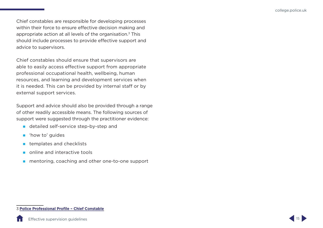Chief constables are responsible for developing processes within their force to ensure effective decision making and appropriate action at all levels of the organisation.3 This should include processes to provide effective support and advice to supervisors.

Chief constables should ensure that supervisors are able to easily access effective support from appropriate professional occupational health, wellbeing, human resources, and learning and development services when it is needed. This can be provided by internal staff or by external support services.

Support and advice should also be provided through a range of other readily accessible means. The following sources of support were suggested through the practitioner evidence:

- detailed self-service step-by-step and
- **n** 'how to' guides
- **E** templates and checklists
- online and interactive tools
- **n** mentoring, coaching and other one-to-one support

#### 3 **[Police Professional Profile – Chief Constable](https://profdev.college.police.uk/professional-profile/chief-constable/)**

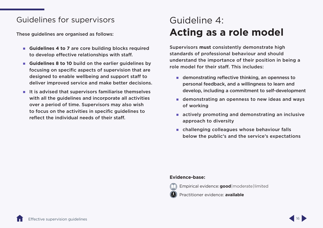# <span id="page-18-0"></span>Guidelines for supervisors

These guidelines are organised as follows:

- Guidelines 4 to 7 are core building blocks required to develop effective relationships with staff.
- **Guidelines 8 to 10** build on the earlier guidelines by focusing on specific aspects of supervision that are designed to enable wellbeing and support staff to deliver improved service and make better decisions.
- $\blacksquare$  It is advised that supervisors familiarise themselves with all the guidelines and incorporate all activities over a period of time. Supervisors may also wish to focus on the activities in specific guidelines to reflect the individual needs of their staff.

# <span id="page-18-1"></span>Guideline 4: **Acting as a role model**

Supervisors **must** consistently demonstrate high standards of professional behaviour and should understand the importance of their position in being a role model for their staff. This includes:

- **demonstrating reflective thinking, an openness to** personal feedback, and a willingness to learn and develop, including a commitment to self-development
- **demonstrating an openness to new ideas and ways** of working
- **actively promoting and demonstrating an inclusive** approach to diversity
- **n** challenging colleagues whose behaviour falls below the public's and the service's expectations

#### **Evidence-base:**



Empirical evidence:**good** | moderate| limited

Practitioner evidence: **available**



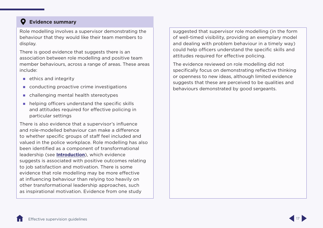# <span id="page-19-0"></span>**Evidence summary**

Role modelling involves a supervisor demonstrating the behaviour that they would like their team members to display.

There is good evidence that suggests there is an association between role modelling and positive team member behaviours, across a range of areas. These areas include:

- $\blacksquare$  ethics and integrity
- conducting proactive crime investigations
- challenging mental health stereotypes
- **helping officers understand the specific skills** and attitudes required for effective policing in particular settings

There is also evidence that a supervisor's influence and role-modelled behaviour can make a difference to whether specific groups of staff feel included and valued in the police workplace. Role modelling has also been identified as a component of transformational leadership (see **[Introduction](#page-9-1)**), which evidence suggests is associated with positive outcomes relating to job satisfaction and motivation. There is some evidence that role modelling may be more effective at influencing behaviour than relying too heavily on other transformational leadership approaches, such as inspirational motivation. Evidence from one study

suggested that supervisor role modelling (in the form of well-timed visibility, providing an exemplary model and dealing with problem behaviour in a timely way) could help officers understand the specific skills and attitudes required for effective policing.

The evidence reviewed on role modelling did not specifically focus on demonstrating reflective thinking or openness to new ideas, although limited evidence suggests that these are perceived to be qualities and behaviours demonstrated by good sergeants.

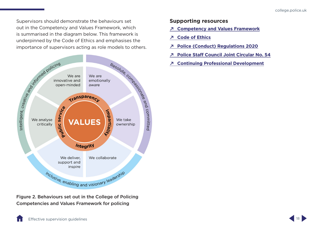Supervisors should demonstrate the behaviours set out in the Competency and Values Framework, which is summarised in the diagram below. This framework is underpinned by the Code of Ethics and emphasises the importance of supervisors acting as role models to others.



Figure 2. Behaviours set out in the College of Policing Competencies and Values Framework for policing

- **↗ [Competency and Values Framework](https://www.college.police.uk/career-learning/career-development/competency-and-values-framework-cvf)**
- **↗ [Code of Ethics](https://www.college.police.uk/ethics/code-of-ethics)**
- **↗ [Police \(Conduct\) Regulations 2020](http://www.legislation.gov.uk/uksi/2020/4/made)**
- **↗ [Police Staff Council Joint Circular No. 54](https://www.local.gov.uk/sites/default/files/documents/workforce%20-%20Police%20-%20PSC%20handbook%20-%20Guidance%20Note%209%20-%20Standards%20of%20Professional%20Behaviour.pdf)**
- **↗ [Continuing Professional Development](https://www.college.police.uk/career-learning/career-development/CPD)**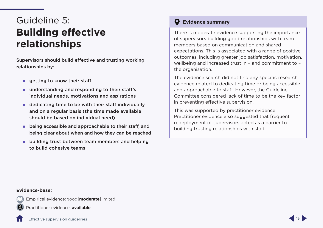# <span id="page-21-1"></span><span id="page-21-0"></span>Guideline 5: **Building effective relationships**

Supervisors should build effective and trusting working relationships by:

- $\blacksquare$  getting to know their staff
- understanding and responding to their staff's individual needs, motivations and aspirations
- dedicating time to be with their staff individually and on a regular basis (the time made available should be based on individual need)
- **EXTERNAL EXECUTE:** being accessible and approachable to their staff, and being clear about when and how they can be reached
- **E** building trust between team members and helping to build cohesive teams

# **Evidence summary**

There is moderate evidence supporting the importance of supervisors building good relationships with team members based on communication and shared expectations. This is associated with a range of positive outcomes, including greater job satisfaction, motivation, wellbeing and increased trust in – and commitment to – the organisation.

The evidence search did not find any specific research evidence related to dedicating time or being accessible and approachable to staff. However, the Guideline Committee considered lack of time to be the key factor in preventing effective supervision.

This was supported by practitioner evidence. Practitioner evidence also suggested that frequent redeployment of supervisors acted as a barrier to building trusting relationships with staff.

#### **Evidence-base:**

Empirical evidence:good | **moderate**| limited



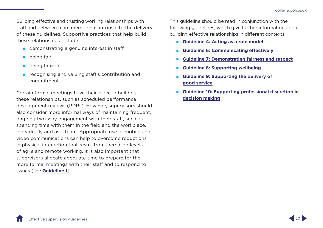Building effective and trusting working relationships with staff and between team members is intrinsic to the delivery of these guidelines. Supportive practices that help build these relationships include:

- **demonstrating a genuine interest in staff**
- **being fair**
- **being flexible**
- **recognising and valuing staff's contribution and** commitment

Certain formal meetings have their place in building these relationships, such as scheduled performance development reviews (PDRs). However, supervisors should also consider more informal ways of maintaining frequent, ongoing two-way engagement with their staff, such as spending time with them in the field and the workplace, individually and as a team. Appropriate use of mobile and video communications can help to overcome reductions in physical interaction that result from increased levels of agile and remote working. It is also important that supervisors allocate adequate time to prepare for the more formal meetings with their staff and to respond to issues (see **Guideline 1**).

This guideline should be read in conjunction with the following guidelines, which give further information about building effective relationships in different contexts:

- **[Guideline 4: Acting as a role model](#page-18-1)**
- **[Guideline 6: Communicating effectively](#page-23-1)**
- **[Guideline 7: Demonstrating fairness and respect](#page-25-1)**
- **[Guideline 8: Supporting wellbeing](#page-28-1)**
- **[Guideline 9: Supporting the delivery of](#page-30-1)  [good service](#page-30-1)**
- **[Guideline 10: Supporting professional discretion in](#page-32-1)  [decision making](#page-32-1)**

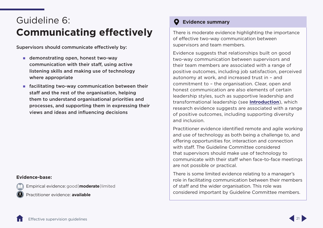# <span id="page-23-1"></span><span id="page-23-0"></span>Guideline 6: **Communicating effectively**

Supervisors should communicate effectively by:

- demonstrating open, honest two-way communication with their staff, using active listening skills and making use of technology where appropriate
- $\blacksquare$  facilitating two-way communication between their staff and the rest of the organisation, helping them to understand organisational priorities and processes, and supporting them in expressing their views and ideas and influencing decisions

#### **Evidence-base:**

Empirical evidence:good | **moderate**| limited

Practitioner evidence: **available**

# **Evidence summary**

There is moderate evidence highlighting the importance of effective two-way communication between supervisors and team members.

Evidence suggests that relationships built on good two-way communication between supervisors and their team members are associated with a range of positive outcomes, including job satisfaction, perceived autonomy at work, and increased trust in – and commitment to – the organisation. Clear, open and honest communication are also elements of certain leadership styles, such as supportive leadership and transformational leadership (see **[Introduction](#page-9-1)**), which research evidence suggests are associated with a range of positive outcomes, including supporting diversity and inclusion.

Practitioner evidence identified remote and agile working and use of technology as both being a challenge to, and offering opportunities for, interaction and connection with staff. The Guideline Committee considered that supervisors should make use of technology to communicate with their staff when face-to-face meetings are not possible or practical.

There is some limited evidence relating to a manager's role in facilitating communication between their members of staff and the wider organisation. This role was considered important by Guideline Committee members.

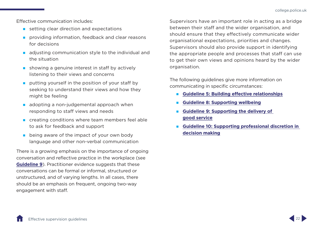Effective communication includes:

- setting clear direction and expectations
- **providing information, feedback and clear reasons** for decisions
- **a** adjusting communication style to the individual and the situation
- $\blacksquare$  showing a genuine interest in staff by actively listening to their views and concerns
- **putting yourself in the position of your staff by** seeking to understand their views and how they might be feeling
- $\Box$  adopting a non-judgemental approach when responding to staff views and needs
- **EXP** creating conditions where team members feel able to ask for feedback and support
- **E** being aware of the impact of your own body language and other non-verbal communication

There is a growing emphasis on the importance of ongoing conversation and reflective practice in the workplace (see **[Guideline 9](#page-30-1)**). Practitioner evidence suggests that these conversations can be formal or informal, structured or unstructured, and of varying lengths. In all cases, there should be an emphasis on frequent, ongoing two-way engagement with staff.

Supervisors have an important role in acting as a bridge between their staff and the wider organisation, and should ensure that they effectively communicate wider organisational expectations, priorities and changes. Supervisors should also provide support in identifying the appropriate people and processes that staff can use to get their own views and opinions heard by the wider organisation.

The following guidelines give more information on communicating in specific circumstances:

- **[Guideline 5: Building effective relationships](#page-21-1)**
- **[Guideline 8: Supporting wellbeing](#page-28-1)**
- **[Guideline 9: Supporting the delivery of](#page-30-1)  [good service](#page-30-1)**
- **[Guideline 10: Supporting professional discretion in](#page-32-1)  [decision making](#page-32-1)**

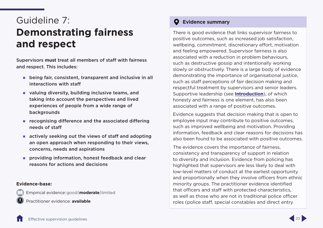# <span id="page-25-1"></span><span id="page-25-0"></span>Guideline 7: **Demonstrating fairness and respect**

Supervisors **must** treat all members of staff with fairness and respect. This includes:

- **EXTERN** being fair, consistent, transparent and inclusive in all interactions with staff
- valuing diversity, building inclusive teams, and taking into account the perspectives and lived experiences of people from a wide range of backgrounds
- $\blacksquare$  recognising difference and the associated differing needs of staff
- **E** actively seeking out the views of staff and adopting an open approach when responding to their views, concerns, needs and aspirations
- **PEDRICA** providing information, honest feedback and clear reasons for actions and decisions

### **Evidence-base:**

Empirical evidence:good | **moderate**| limited

Practitioner evidence: **available**

# **Evidence summary**

There is good evidence that links supervisor fairness to positive outcomes, such as increased job satisfaction, wellbeing, commitment, discretionary effort, motivation and feeling empowered. Supervisor fairness is also associated with a reduction in problem behaviours, such as destructive gossip and intentionally working slowly or obstructively. There is a large body of evidence demonstrating the importance of organisational justice, such as staff perceptions of fair decision making and respectful treatment by supervisors and senior leaders. Supportive leadership (see **[Introduction](#page-9-1)**), of which honesty and fairness is one element, has also been associated with a range of positive outcomes.

Evidence suggests that decision making that is open to employee input may contribute to positive outcomes, such as improved wellbeing and motivation. Providing information, feedback and clear reasons for decisions has also been found to be associated with positive outcomes.

The evidence covers the importance of fairness, consistency and transparency of support in relation to diversity and inclusion. Evidence from policing has highlighted that supervisors are less likely to deal with low-level matters of conduct at the earliest opportunity and proportionally when they involve officers from ethnic minority groups. The practitioner evidence identified that officers and staff with protected characteristics, as well as those who are not in traditional police officer roles (police staff, special constables and direct entry

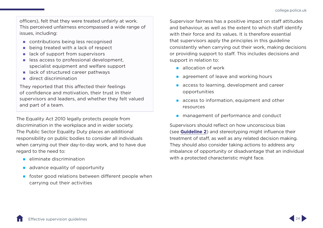officers), felt that they were treated unfairly at work. This perceived unfairness encompassed a wide range of issues, including:

- contributions being less recognised
- being treated with a lack of respect
- lack of support from supervisors
- $\blacksquare$  less access to professional development, specialist equipment and welfare support
- lack of structured career pathways
- direct discrimination

They reported that this affected their feelings of confidence and motivation, their trust in their supervisors and leaders, and whether they felt valued and part of a team.

The Equality Act 2010 legally protects people from discrimination in the workplace and in wider society. The Public Sector Equality Duty places an additional responsibility on public bodies to consider all individuals when carrying out their day-to-day work, and to have due regard to the need to:

- $\blacksquare$  eliminate discrimination
- advance equality of opportunity
- $\blacksquare$  foster good relations between different people when carrying out their activities

Supervisor fairness has a positive impact on staff attitudes and behaviour, as well as the extent to which staff identify with their force and its values. It is therefore essential that supervisors apply the principles in this guideline consistently when carrying out their work, making decisions or providing support to staff. This includes decisions and support in relation to:

- allocation of work
- agreement of leave and working hours
- access to learning, development and career opportunities
- $\blacksquare$  access to information, equipment and other resources
- **nanagement of performance and conduct**

Supervisors should reflect on how unconscious bias (see **[Guideline 2](#page-13-1)**) and stereotyping might influence their treatment of staff, as well as any related decision making. They should also consider taking actions to address any imbalance of opportunity or disadvantage that an individual with a protected characteristic might face.

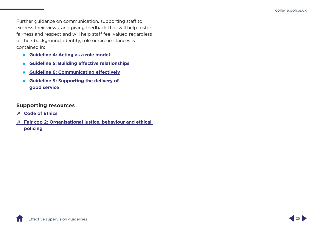Further guidance on communication, supporting staff to express their views, and giving feedback that will help foster fairness and respect and will help staff feel valued regardless of their background, identity, role or circumstances is contained in:

- **[Guideline 4: Acting as a role model](#page-18-1)**
- **[Guideline 5: Building effective relationships](#page-21-1)**
- **[Guideline 6: Communicating effectively](#page-23-1)**
- **[Guideline 9: Supporting the delivery of](#page-30-1)  [good service](#page-30-1)**

- **↗ [Code of Ethics](https://www.college.police.uk/ethics/code-of-ethics)**
- **↗ [Fair cop 2: Organisational justice, behaviour and ethical]([12:25] Rachael McKie
https://assets.college.police.uk/s3fs-public/2022-04/Fair-cop-2-%20organisational-justice-behaviour-and-ethical-policing.pdf

)  [policing]([12:25] Rachael McKie
https://assets.college.police.uk/s3fs-public/2022-04/Fair-cop-2-%20organisational-justice-behaviour-and-ethical-policing.pdf

)**

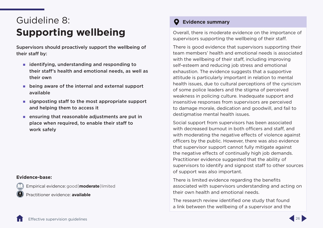# <span id="page-28-1"></span><span id="page-28-0"></span>Guideline 8: **Supporting wellbeing**

Supervisors should proactively support the wellbeing of their staff by:

- $\blacksquare$  identifying, understanding and responding to their staff's health and emotional needs, as well as their own
- **E** being aware of the internal and external support available
- $\blacksquare$  signposting staff to the most appropriate support and helping them to access it
- **EXECUTE:** ensuring that reasonable adjustments are put in place when required, to enable their staff to work safely

#### **Evidence-base:**

Empirical evidence:good | **moderate**| limited

Practitioner evidence: **available**

# **Evidence summary**

Overall, there is moderate evidence on the importance of supervisors supporting the wellbeing of their staff.

There is good evidence that supervisors supporting their team members' health and emotional needs is associated with the wellbeing of their staff, including improving self-esteem and reducing job stress and emotional exhaustion. The evidence suggests that a supportive attitude is particularly important in relation to mental health issues, due to cultural perceptions of the cynicism of some police leaders and the stigma of perceived weakness in policing culture. Inadequate support and insensitive responses from supervisors are perceived to damage morale, dedication and goodwill, and fail to destigmatise mental health issues.

Social support from supervisors has been associated with decreased burnout in both officers and staff, and with moderating the negative effects of violence against officers by the public. However, there was also evidence that supervisor support cannot fully mitigate against the negative effects of continually high job demands. Practitioner evidence suggested that the ability of supervisors to identify and signpost staff to other sources of support was also important.

There is limited evidence regarding the benefits associated with supervisors understanding and acting on their own health and emotional needs.

The research review identified one study that found a link between the wellbeing of a supervisor and the

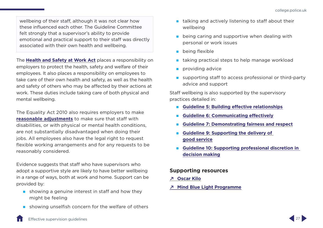wellbeing of their staff, although it was not clear how these influenced each other. The Guideline Committee felt strongly that a supervisor's ability to provide emotional and practical support to their staff was directly associated with their own health and wellbeing.

The **[Health and Safety at Work Act](http://www.hse.gov.uk/legislation/hswa.htm)** places a responsibility on employers to protect the health, safety and welfare of their employees. It also places a responsibility on employees to take care of their own health and safety, as well as the health and safety of others who may be affected by their actions at work. These duties include taking care of both physical and mental wellbeing.

The Equality Act 2010 also requires employers to make **[reasonable adjustments](http://www.gov.uk/reasonable-adjustments-for-disabled-workers)** to make sure that staff with disabilities, or with physical or mental health conditions, are not substantially disadvantaged when doing their jobs. All employees also have the legal right to request flexible working arrangements and for any requests to be reasonably considered.

Evidence suggests that staff who have supervisors who adopt a supportive style are likely to have better wellbeing in a range of ways, both at work and home. Support can be provided by:

- $\blacksquare$  showing a genuine interest in staff and how they might be feeling
- showing unselfish concern for the welfare of others
- **talking and actively listening to staff about their** wellbeing
- **E** being caring and supportive when dealing with personal or work issues
- **being flexible**
- **taking practical steps to help manage workload**
- $\blacksquare$  providing advice
- supporting staff to access professional or third-party advice and support

Staff wellbeing is also supported by the supervisory practices detailed in:

- **[Guideline 5: Building effective relationships](#page-21-1)**
- **[Guideline 6: Communicating effectively](#page-23-1)**
- **[Guideline 7: Demonstrating fairness and respect](#page-25-1)**
- **[Guideline 9: Supporting the delivery of](#page-30-1)  [good service](#page-30-1)**
- **[Guideline 10: Supporting professional discretion in](#page-32-1)  [decision making](#page-32-1)**

- **↗ [Oscar Kilo](https://oscarkilo.org.uk/)**
- **↗ [Mind Blue Light Programme](http://www.mind.org.uk/bluelight)**

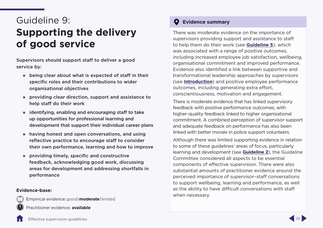# <span id="page-30-1"></span><span id="page-30-0"></span>Guideline 9: **Supporting the delivery of good service**

Supervisors should support staff to deliver a good service by:

- **E** being clear about what is expected of staff in their specific roles and their contributions to wider organisational objectives
- **PEDRIM** providing clear direction, support and assistance to help staff do their work
- $\blacksquare$  identifying, enabling and encouraging staff to take up opportunities for professional learning and development that support their individual career plans
- **having honest and open conversations, and using** reflective practice to encourage staff to consider their own performance, learning and how to improve
- **PEDITION IS NOTE** providing timely, specific and constructive feedback, acknowledging good work, discussing areas for development and addressing shortfalls in performance

### **Evidence-base:**

Empirical evidence:good | **moderate**| limited

Practitioner evidence: **available**

# **Evidence summary**

There was moderate evidence on the importance of supervisors providing support and assistance to staff to help them do their work (see **[Guideline 5](#page-21-1)**), which was associated with a range of positive outcomes, including increased employee job satisfaction, wellbeing, organisational commitment and improved performance. Evidence also identified a link between supportive and transformational leadership approaches by supervisors (see **[Introduction](#page-9-1)**) and positive employee performance outcomes, including generating extra effort, conscientiousness, motivation and engagement.

There is moderate evidence that has linked supervisory feedback with positive performance outcomes, with higher-quality feedback linked to higher organisational commitment. A combined perception of supervisor support and adequate feedback on performance has also been linked with better morale in police support volunteers.

Although there was limited supporting evidence in relation to some of these guidelines' areas of focus, particularly learning and development (see **[Guideline 2](#page-13-1)**), the Guideline Committee considered all aspects to be essential components of effective supervision. There were also substantial amounts of practitioner evidence around the perceived importance of supervisor–staff conversations to support wellbeing, learning and performance, as well as the ability to have difficult conversations with staff when necessary.

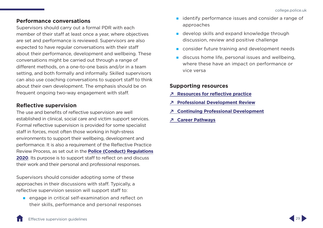### <span id="page-31-0"></span>**Performance conversations**

Supervisors should carry out a formal PDR with each member of their staff at least once a year, where objectives are set and performance is reviewed. Supervisors are also expected to have regular conversations with their staff about their performance, development and wellbeing. These conversations might be carried out through a range of different methods, on a one-to-one basis and/or in a team setting, and both formally and informally. Skilled supervisors can also use coaching conversations to support staff to think about their own development. The emphasis should be on frequent ongoing two-way engagement with staff.

## **Reflective supervision**

The use and benefits of reflective supervision are well established in clinical, social care and victim support services. Formal reflective supervision is provided for some specialist staff in forces, most often those working in high-stress environments to support their wellbeing, development and performance. It is also a requirement of the Reflective Practice Review Process, as set out in the **[Police \(Conduct\) Regulations](https://www.legislation.gov.uk/uksi/2020/4/made)  [2020](https://www.legislation.gov.uk/uksi/2020/4/made)**. Its purpose is to support staff to reflect on and discuss their work and their personal and professional responses.

Supervisors should consider adopting some of these approaches in their discussions with staff. Typically, a reflective supervision session will support staff to:

**E** engage in critical self-examination and reflect on their skills, performance and personal responses

- $\blacksquare$  identify performance issues and consider a range of approaches
- **develop skills and expand knowledge through** discussion, review and positive challenge
- **Consider future training and development needs**
- discuss home life, personal issues and wellbeing, where these have an impact on performance or vice versa

- **↗ [Resources for reflective practice](https://assets.college.police.uk/s3fs-public/2020-11/Resources_for_reflective_practice_v1_0.pdf)**
- **↗ [Professional Development Review](https://www.college.police.uk/career-learning/career-development/professional-development-review-pdr)**
- **↗ [Continuing Professional Development](https://www.college.police.uk/career-learning/career-development/CPD)**
- **↗ [Career Pathways](https://www.college.police.uk/career-learning/career-development/career-pathways)**

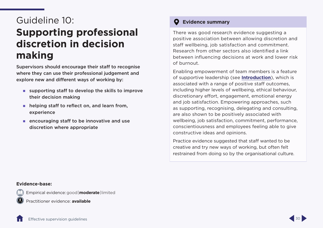# <span id="page-32-1"></span><span id="page-32-0"></span>Guideline 10: **Supporting professional discretion in decision making**

Supervisors should encourage their staff to recognise where they can use their professional judgement and explore new and different ways of working by:

- supporting staff to develop the skills to improve their decision making
- **helping staff to reflect on, and learn from,** experience
- **EXECUTE 2018 12 Interest 2018 12:33 12:34 12:35 12:36 12:36 12:36 12:36 12:36 12:36 12:36 12:36 12:36 12:36 12:36 12:36 12:36 12:36 12:36 12:36 12:36 12:36 12:36 12:36 12:36 12:36 12:36 12:36 12:36 12:36 12:36 12:36 12:36** discretion where appropriate

# **Evidence summary**

There was good research evidence suggesting a positive association between allowing discretion and staff wellbeing, job satisfaction and commitment. Research from other sectors also identified a link between influencing decisions at work and lower risk of burnout.

Enabling empowerment of team members is a feature of supportive leadership (see **[Introduction](#page-9-1)**), which is associated with a range of positive staff outcomes, including higher levels of wellbeing, ethical behaviour, discretionary effort, engagement, emotional energy and job satisfaction. Empowering approaches, such as supporting, recognising, delegating and consulting, are also shown to be positively associated with wellbeing, job satisfaction, commitment, performance, conscientiousness and employees feeling able to give constructive ideas and opinions.

Practice evidence suggested that staff wanted to be creative and try new ways of working, but often felt restrained from doing so by the organisational culture.

#### **Evidence-base:**

Empirical evidence:good | **moderate**| limited

Practitioner evidence: **available**

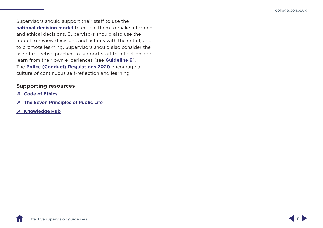Supervisors should support their staff to use the **n[ational decision model](https://www.college.police.uk/app/national-decision-model)** to enable them to make informed and ethical decisions. Supervisors should also use the model to review decisions and actions with their staff, and to promote learning. Supervisors should also consider the use of reflective practice to support staff to reflect on and learn from their own experiences (see **[Guideline 9](#page-30-1)**). The **[Police \(Conduct\) Regulations 2020](http://www.legislation.gov.uk/uksi/2020/4/made)** encourage a culture of continuous self-reflection and learning.

- **↗ [Code of Ethics](https://www.college.police.uk/ethics/code-of-ethics)**
- **↗ [The Seven Principles of Public Life](https://www.gov.uk/government/publications/the-7-principles-of-public-life)**
- **↗ [Knowledge Hub](https://knowledgehub.group/)**